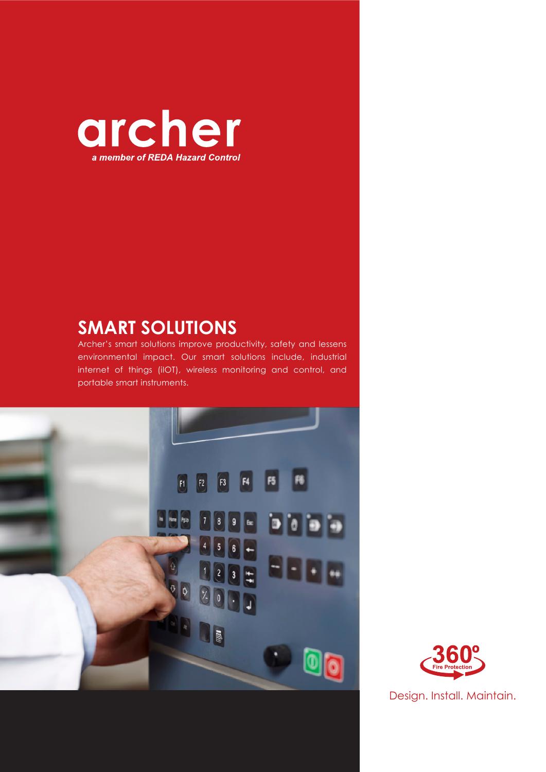

## **SMART SOLUTIONS**

Archer's smart solutions improve productivity, safety and lessens environmental impact. Our smart solutions include, industrial internet of things (iIOT), wireless monitoring and control, and portable smart instruments.



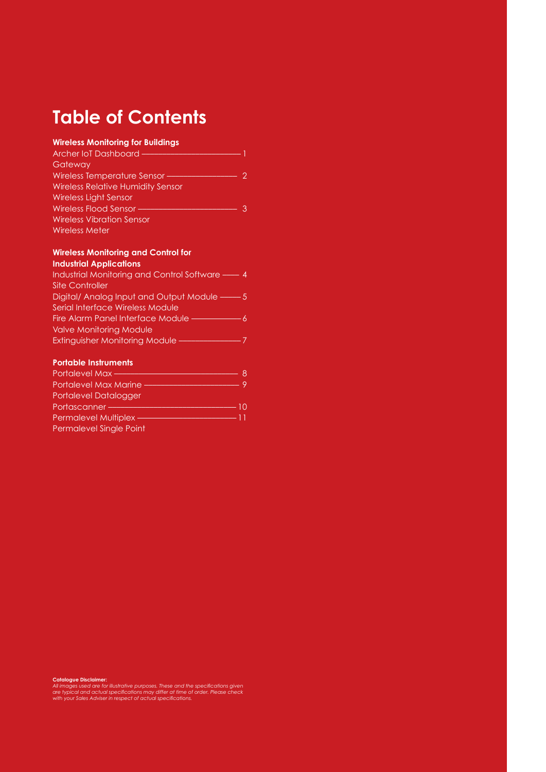# **Table of Contents**

#### **Wireless Monitoring for Buildings**

| Archer IoT Dashboard —                   |  |
|------------------------------------------|--|
| Gateway                                  |  |
| Wireless Temperature Sensor-             |  |
| <b>Wireless Relative Humidity Sensor</b> |  |
| Wireless Light Sensor                    |  |
| Wireless Flood Sensor-                   |  |
| <b>Wireless Vibration Sensor</b>         |  |
| <b>Wireless Meter</b>                    |  |
|                                          |  |

#### **Wireless Monitoring and Control for Industrial Applications**

| Industrial Monitoring and Control Software — 4 |  |
|------------------------------------------------|--|
| <b>Site Controller</b>                         |  |
| Digital/ Analog Input and Output Module ——– 5  |  |
| Serial Interface Wireless Module               |  |
| Fire Alarm Panel Interface Module —            |  |
| <b>Valve Monitoring Module</b>                 |  |
| <b>Extinguisher Monitoring Module ——</b>       |  |
|                                                |  |

#### **Portable Instruments**

| Portalevel Max-              |    |
|------------------------------|----|
| Portalevel Max Marine        |    |
| <b>Portalevel Datalogger</b> |    |
| Portascanner-                | 10 |
| Permalevel Multiplex -       | 11 |
| Permalevel Single Point      |    |

**Catalogue Disclaimer:**<br>All images used are for illustrative purposes. These and the specifications given<br>are typical and actual specifications may differ at time of order. Please check<br>with your Sales Adviser in respect o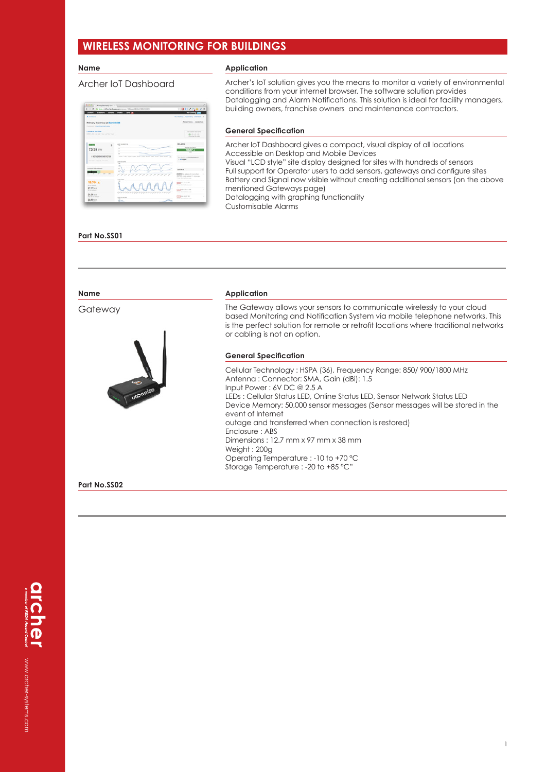### **WIRELESS MONITORING FOR BUILDINGS**

#### **Name**

 $\frac{1}{12.35}$ 

 $\frac{1}{2}$ 

 $\frac{15.3\%}{z7.72\times10^{-6}}$ 

24.04 x

#### Archer IoT Dashboard

#### **Application**

Archer's IoT solution gives you the means to monitor a variety of environmental conditions from your internet browser. The software solution provides Datalogging and Alarm Notifications. This solution is ideal for facility managers, building owners, franchise owners and maintenance contractors.

# - 1

IAAA

#### **General Specification**

Archer IoT Dashboard gives a compact, visual display of all locations Accessible on Desktop and Mobile Devices Visual "LCD style" site display designed for sites with hundreds of sensors Full support for Operator users to add sensors, gateways and configure sites Battery and Signal now visible without creating additional sensors (on the above mentioned Gateways page) Datalogging with graphing functionality Customisable Alarms

#### **Part No.SS01**

| <b>Name</b>  | <b>Application</b>                                                                                                                                                                                                                                                                                                                                                                                                                                                                                                                           |
|--------------|----------------------------------------------------------------------------------------------------------------------------------------------------------------------------------------------------------------------------------------------------------------------------------------------------------------------------------------------------------------------------------------------------------------------------------------------------------------------------------------------------------------------------------------------|
| Gateway      | The Gateway allows your sensors to communicate wirelessly to your cloud<br>based Monitoring and Notification System via mobile telephone networks. This<br>is the perfect solution for remote or retrofit locations where traditional networks<br>or cabling is not an option.                                                                                                                                                                                                                                                               |
|              | <b>General Specification</b>                                                                                                                                                                                                                                                                                                                                                                                                                                                                                                                 |
|              | Cellular Technology: HSPA (36), Frequency Range: 850/900/1800 MHz<br>Antenna: Connector: SMA, Gain (dBi): 1.5<br>Input Power: 6V DC @ 2.5 A<br>LEDs: Cellular Status LED, Online Status LED, Sensor Network Status LED<br>Device Memory: 50,000 sensor messages (Sensor messages will be stored in the<br>event of Internet<br>outage and transferred when connection is restored)<br>Enclosure: ABS<br>Dimensions: 12.7 mm x 97 mm x 38 mm<br>Weight: 200g<br>Operating Temperature : -10 to +70 °C<br>Storage Temperature : -20 to +85 °C" |
| Part No.SS02 |                                                                                                                                                                                                                                                                                                                                                                                                                                                                                                                                              |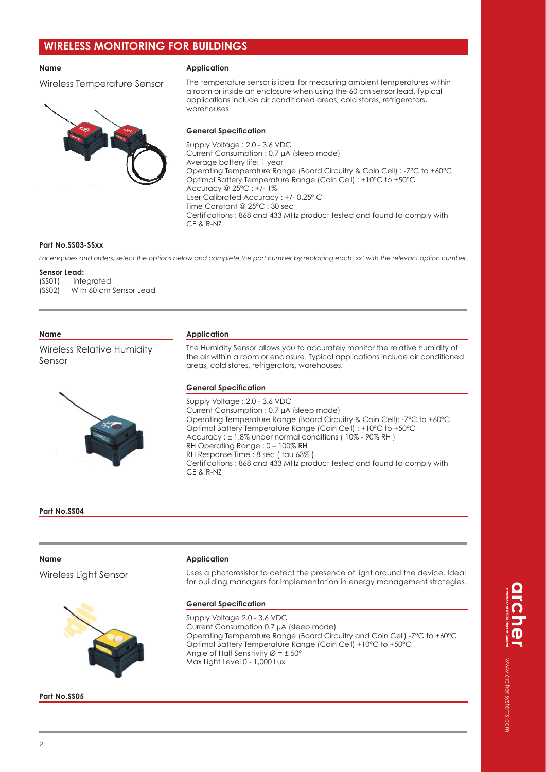### **WIRELESS MONITORING FOR BUILDINGS**

#### **Name**

Wireless Temperature Sensor



The temperature sensor is ideal for measuring ambient temperatures within a room or inside an enclosure when using the 60 cm sensor lead. Typical applications include air conditioned areas, cold stores, refrigerators, warehouses.



#### **General Specification**

Supply Voltage : 2.0 - 3.6 VDC Current Consumption : 0.7 μA (sleep mode) Average battery life: 1 year Operating Temperature Range (Board Circuitry & Coin Cell) : -7°C to +60°C Optimal Battery Temperature Range (Coin Cell) : +10°C to +50°C Accuracy @ 25°C : +/- 1% User Calibrated Accuracy : +/- 0.25° C Time Constant @ 25°C : 30 sec Certifications : 868 and 433 MHz product tested and found to comply with CE & R-NZ

#### **Part No.SS03-SSxx**

*For enquiries and orders, select the options below and complete the part number by replacing each 'xx' with the relevant option number.*

#### **Sensor Lead:**

(SS01) Integrated (SS02) With 60 cm Sensor Lead

#### **Name**

Wireless Relative Humidity Sensor



### **Application**

The Humidity Sensor allows you to accurately monitor the relative humidity of the air within a room or enclosure. Typical applications include air conditioned areas, cold stores, refrigerators, warehouses.

#### **General Specification**

Supply Voltage : 2.0 - 3.6 VDC Current Consumption : 0.7 μA (sleep mode) Operating Temperature Range (Board Circuitry & Coin Cell): -7°C to +60°C Optimal Battery Temperature Range (Coin Cell) : +10°C to +50°C Accuracy : ± 1.8% under normal conditions ( 10% - 90% RH ) RH Operating Range : 0 – 100% RH RH Response Time : 8 sec ( tau 63% ) Certifications : 868 and 433 MHz product tested and found to comply with CE & R-NZ

#### **Part No.SS04**

| Name                  | <b>Application</b>                                                                                                                                                                                                                                                                                                |
|-----------------------|-------------------------------------------------------------------------------------------------------------------------------------------------------------------------------------------------------------------------------------------------------------------------------------------------------------------|
| Wireless Light Sensor | Uses a photoresistor to detect the presence of light around the device. Ideal<br>for building managers for implementation in energy management strategies.                                                                                                                                                        |
|                       | <b>General Specification</b>                                                                                                                                                                                                                                                                                      |
|                       | Supply Voltage 2.0 - 3.6 VDC<br>Current Consumption 0.7 µA (sleep mode)<br>Operating Temperature Range (Board Circuitry and Coin Cell) -7°C to +60°C<br>Optimal Battery Temperature Range (Coin Cell) +10°C to +50°C<br>Angle of Half Sensitivity $\varnothing = \pm 50^{\circ}$<br>Max Light Level 0 - 1,000 Lux |
| Part No.SS05          |                                                                                                                                                                                                                                                                                                                   |

www.archer-systems.com www.archer-systems.com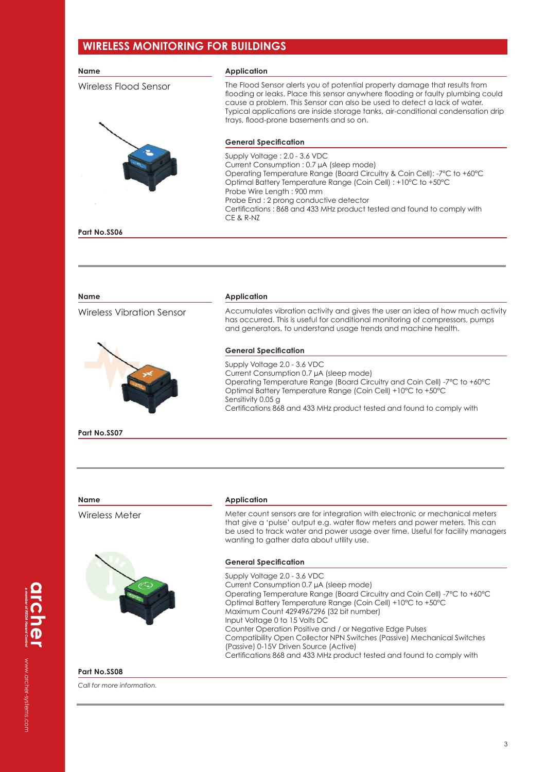### **WIRELESS MONITORING FOR BUILDINGS**

| Name                             | <b>Application</b>                                                                                                                                                                                                                                                                                                                                                                                                                                                                                                                                            |
|----------------------------------|---------------------------------------------------------------------------------------------------------------------------------------------------------------------------------------------------------------------------------------------------------------------------------------------------------------------------------------------------------------------------------------------------------------------------------------------------------------------------------------------------------------------------------------------------------------|
| Wireless Flood Sensor            | The Flood Sensor alerts you of potential property damage that results from<br>flooding or leaks. Place this sensor anywhere flooding or faulty plumbing could<br>cause a problem. This Sensor can also be used to detect a lack of water.<br>Typical applications are inside storage tanks, air-conditional condensation drip<br>trays, flood-prone basements and so on.                                                                                                                                                                                      |
|                                  | <b>General Specification</b>                                                                                                                                                                                                                                                                                                                                                                                                                                                                                                                                  |
|                                  | Supply Voltage: 2.0 - 3.6 VDC<br>Current Consumption: 0.7 µA (sleep mode)<br>Operating Temperature Range (Board Circuitry & Coin Cell): -7°C to +60°C<br>Optimal Battery Temperature Range (Coin Cell) : +10°C to +50°C<br>Probe Wire Length: 900 mm<br>Probe End: 2 prong conductive detector<br>Certifications: 868 and 433 MHz product tested and found to comply with<br>CE & R-NZ                                                                                                                                                                        |
| Part No.SS06                     |                                                                                                                                                                                                                                                                                                                                                                                                                                                                                                                                                               |
|                                  |                                                                                                                                                                                                                                                                                                                                                                                                                                                                                                                                                               |
| <b>Name</b>                      | <b>Application</b>                                                                                                                                                                                                                                                                                                                                                                                                                                                                                                                                            |
| <b>Wireless Vibration Sensor</b> | Accumulates vibration activity and gives the user an idea of how much activity<br>has occurred. This is useful for conditional monitoring of compressors, pumps<br>and generators, to understand usage trends and machine health.                                                                                                                                                                                                                                                                                                                             |
|                                  | <b>General Specification</b>                                                                                                                                                                                                                                                                                                                                                                                                                                                                                                                                  |
|                                  | Supply Voltage 2.0 - 3.6 VDC<br>Current Consumption 0.7 µA (sleep mode)<br>Operating Temperature Range (Board Circuitry and Coin Cell) -7°C to +60°C<br>Optimal Battery Temperature Range (Coin Cell) +10°C to +50°C<br>Sensitivity 0.05 g<br>Certifications 868 and 433 MHz product tested and found to comply with                                                                                                                                                                                                                                          |
| Part No.SS07                     |                                                                                                                                                                                                                                                                                                                                                                                                                                                                                                                                                               |
|                                  |                                                                                                                                                                                                                                                                                                                                                                                                                                                                                                                                                               |
|                                  |                                                                                                                                                                                                                                                                                                                                                                                                                                                                                                                                                               |
| Name                             | <b>Application</b>                                                                                                                                                                                                                                                                                                                                                                                                                                                                                                                                            |
| Wireless Meter                   | Meter count sensors are for integration with electronic or mechanical meters<br>that give a 'pulse' output e.g. water flow meters and power meters. This can<br>be used to track water and power usage over time. Useful for facility managers<br>wanting to gather data about utility use.                                                                                                                                                                                                                                                                   |
|                                  | <b>General Specification</b>                                                                                                                                                                                                                                                                                                                                                                                                                                                                                                                                  |
|                                  | Supply Voltage 2.0 - 3.6 VDC<br>Current Consumption 0.7 µA (sleep mode)<br>Operating Temperature Range (Board Circuitry and Coin Cell) -7°C to +60°C<br>Optimal Battery Temperature Range (Coin Cell) +10°C to +50°C<br>Maximum Count 4294967296 (32 bit number)<br>Input Voltage 0 to 15 Volts DC<br>Counter Operation Positive and / or Negative Edge Pulses<br>Compatibility Open Collector NPN Switches (Passive) Mechanical Switches<br>(Passive) 0-15V Driven Source (Active)<br>Certifications 868 and 433 MHz product tested and found to comply with |
| Part No.SS08                     |                                                                                                                                                                                                                                                                                                                                                                                                                                                                                                                                                               |

*Call for more information.*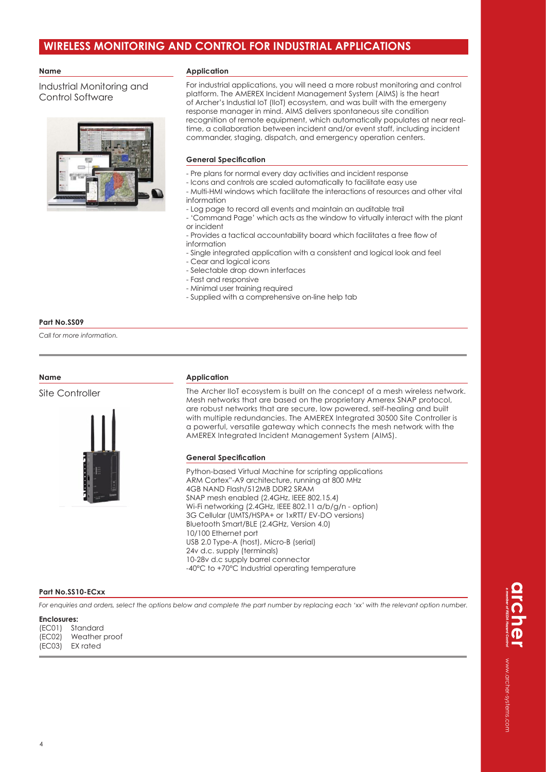#### **Name**

Industrial Monitoring and Control Software



#### **Application**

For industrial applications, you will need a more robust monitoring and control platform. The AMEREX Incident Management System (AIMS) is the heart of Archer's Industial IoT (IIoT) ecosystem, and was built with the emergeny response manager in mind. AIMS delivers spontaneous site condition recognition of remote equipment, which automatically populates at near realtime, a collaboration between incident and/or event staff, including incident commander, staging, dispatch, and emergency operation centers.

#### **General Specification**

- Pre plans for normal every day activities and incident response
- Icons and controls are scaled automatically to facilitate easy use
- Multi-HMI windows which facilitate the interactions of resources and other vital information
- Log page to record all events and maintain an auditable trail
- 'Command Page' which acts as the window to virtually interact with the plant or incident
- Provides a tactical accountability board which facilitates a free flow of information
- Single integrated application with a consistent and logical look and feel
- Cear and logical icons
- Selectable drop down interfaces
- Fast and responsive
- Minimal user training required
- Supplied with a comprehensive on-line help tab

#### **Part No.SS09**

*Call for more information.*

#### **Name**

Site Controller



#### **Application**

The Archer IIoT ecosystem is built on the concept of a mesh wireless network. Mesh networks that are based on the proprietary Amerex SNAP protocol, are robust networks that are secure, low powered, self-healing and built with multiple redundancies. The AMEREX Integrated 30500 Site Controller is a powerful, versatile gateway which connects the mesh network with the AMEREX Integrated Incident Management System (AIMS).

#### **General Specification**

Python-based Virtual Machine for scripting applications ARM Cortex"-A9 architecture, running at 800 MHz 4GB NAND Flash/512MB DDR2 SRAM SNAP mesh enabled (2.4GHz, IEEE 802.15.4) Wi-Fi networking (2.4GHz, IEEE 802.11 a/b/g/n - option) 3G Cellular (UMTS/HSPA+ or 1xRTT/ EV-DO versions) Bluetooth Smart/BLE (2.4GHz, Version 4.0) 10/100 Ethernet port USB 2.0 Type-A (host), Micro-B (serial) 24v d.c. supply (terminals) 10-28v d.c supply barrel connector -40°C to +70°C Industrial operating temperature

#### **Part No.SS10-ECxx**

*For enquiries and orders, select the options below and complete the part number by replacing each 'xx' with the relevant option number.*

#### **Enclosures:**

(EC01) Standard (EC02) Weather proof<br>(EC03) EX rated EX rated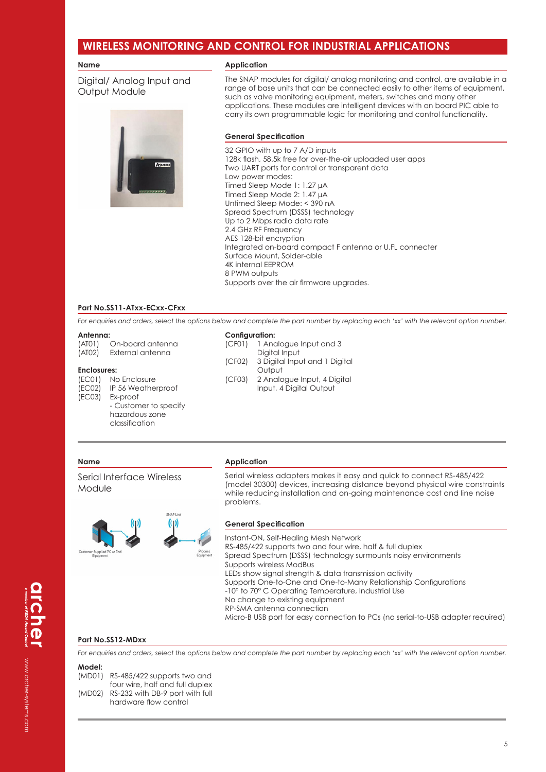#### **Name**

Digital/ Analog Input and Output Module



#### **Application**

The SNAP modules for digital/ analog monitoring and control, are available in a range of base units that can be connected easily to other items of equipment, such as valve monitoring equipment, meters, switches and many other applications. These modules are intelligent devices with on board PIC able to carry its own programmable logic for monitoring and control functionality.

#### **General Specification**

32 GPIO with up to 7 A/D inputs 128k flash, 58.5k free for over-the-air uploaded user apps Two UART ports for control or transparent data Low power modes: Timed Sleep Mode 1: 1.27 μA Timed Sleep Mode 2: 1.47 μA Untimed Sleep Mode: < 390 nA Spread Spectrum (DSSS) technology Up to 2 Mbps radio data rate 2.4 GHz RF Frequency AES 128-bit encryption Integrated on-board compact F antenna or U.FL connecter Surface Mount, Solder-able 4K internal EEPROM 8 PWM outputs Supports over the air firmware upgrades.

#### **Part No.SS11-ATxx-ECxx-CFxx**

*For enquiries and orders, select the options below and complete the part number by replacing each 'xx' with the relevant option number.*

#### **Antenna:**

(AT01) On-board antenna (AT02) External antenna

#### **Enclosures:**

(EC01) No Enclosure (EC02) IP 56 Weatherproof<br>(EC03) Ex-proof Ex-proof - Customer to specify hazardous zone

classification

(CF01) 1 Analogue Input and 3 Digital Input (CF02) 3 Digital Input and 1 Digital **Output** (CF03) 2 Analogue Input, 4 Digital Input, 4 Digital Output

#### **Name**

Serial Interface Wireless Module

#### **Application**

**Configuration:**

Serial wireless adapters makes it easy and quick to connect RS-485/422 (model 30300) devices, increasing distance beyond physical wire constraints while reducing installation and on-going maintenance cost and line noise problems.



#### **General Specification**

Instant-ON, Self-Healing Mesh Network RS-485/422 supports two and four wire, half & full duplex Spread Spectrum (DSSS) technology surmounts noisy environments Supports wireless ModBus LEDs show signal strength & data transmission activity Supports One-to-One and One-to-Many Relationship Configurations -10° to 70° C Operating Temperature, Industrial Use No change to existing equipment RP-SMA antenna connection Micro-B USB port for easy connection to PCs (no serial-to-USB adapter required)

#### **Part No.SS12-MDxx**

*For enquiries and orders, select the options below and complete the part number by replacing each 'xx' with the relevant option number.*

#### **Model:**

| (MDO1) | RS-485/422 supports two and     |
|--------|---------------------------------|
|        | four wire, half and full duplex |
| (MDO2) | RS-232 with DB-9 port with full |
|        | hardware flow control           |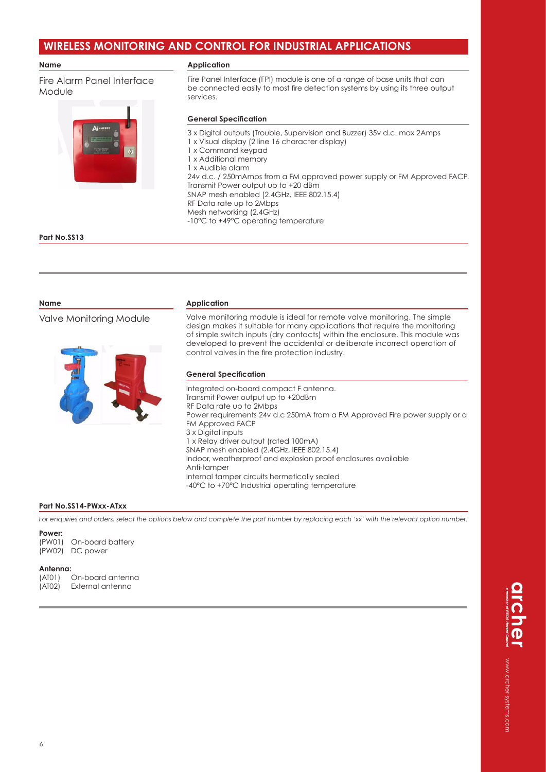#### **Name**

Fire Alarm Panel Interface Module



#### **Application**

Fire Panel Interface (FPI) module is one of a range of base units that can be connected easily to most fire detection systems by using its three output services.

#### **General Specification**

3 x Digital outputs (Trouble, Supervision and Buzzer) 35v d.c. max 2Amps 1 x Visual display (2 line 16 character display) 1 x Command keypad 1 x Additional memory 1 x Audible alarm 24v d.c. / 250mAmps from a FM approved power supply or FM Approved FACP. Transmit Power output up to +20 dBm SNAP mesh enabled (2.4GHz, IEEE 802.15.4) RF Data rate up to 2Mbps Mesh networking (2.4GHz) -10°C to +49°C operating temperature

#### **Part No.SS13**

#### **Name**

Valve Monitoring Module



#### **Application**

Valve monitoring module is ideal for remote valve monitoring. The simple design makes it suitable for many applications that require the monitoring of simple switch inputs (dry contacts) within the enclosure. This module was developed to prevent the accidental or deliberate incorrect operation of control valves in the fire protection industry.

#### **General Specification**

Integrated on-board compact F antenna. Transmit Power output up to +20dBm RF Data rate up to 2Mbps Power requirements 24v d.c 250mA from a FM Approved Fire power supply or a FM Approved FACP 3 x Digital inputs 1 x Relay driver output (rated 100mA) SNAP mesh enabled (2.4GHz, IEEE 802.15.4) Indoor, weatherproof and explosion proof enclosures available Anti-tamper Internal tamper circuits hermetically sealed -40°C to +70°C Industrial operating temperature

#### **Part No.SS14-PWxx-ATxx**

*For enquiries and orders, select the options below and complete the part number by replacing each 'xx' with the relevant option number.*

#### **Power:**

(PW01) On-board battery (PW02) DC power

**Antenna:**  On-board antenna (AT02) External antenna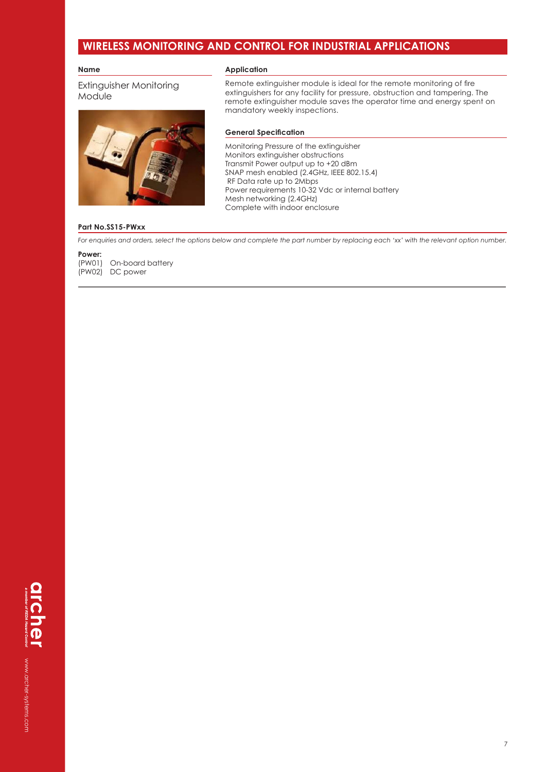#### **Name**

#### **Application**

Extinguisher Monitoring Module



Remote extinguisher module is ideal for the remote monitoring of fire extinguishers for any facility for pressure, obstruction and tampering. The remote extinguisher module saves the operator time and energy spent on mandatory weekly inspections.

#### **General Specification**

Monitoring Pressure of the extinguisher Monitors extinguisher obstructions Transmit Power output up to +20 dBm SNAP mesh enabled (2.4GHz, IEEE 802.15.4) RF Data rate up to 2Mbps Power requirements 10-32 Vdc or internal battery Mesh networking (2.4GHz) Complete with indoor enclosure

#### **Part No.SS15-PWxx**

*For enquiries and orders, select the options below and complete the part number by replacing each 'xx' with the relevant option number.*

**Power:**  (PW01) On-board battery (PW02) DC power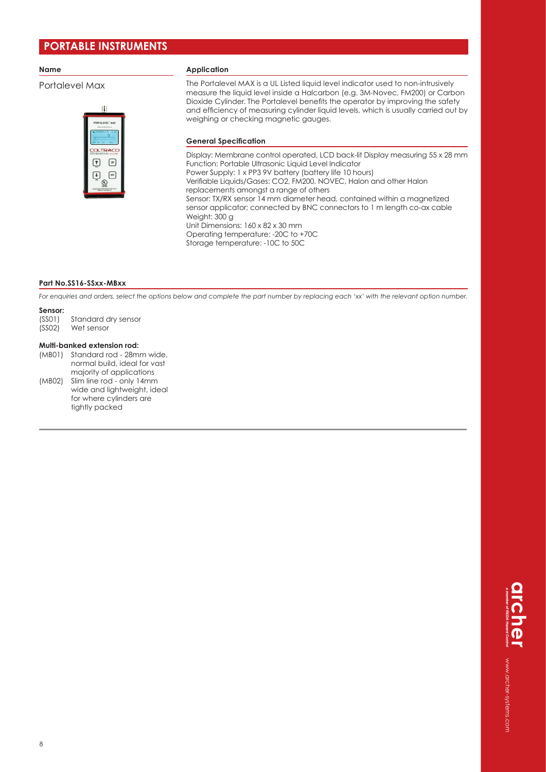#### **Name**

#### Portalevel Max



#### **Application**

The Portalevel MAX is a UL Listed liquid level indicator used to non-intrusively measure the liquid level inside a Halcarbon (e.g. 3M-Novec, FM200) or Carbon Dioxide Cylinder. The Portalevel benefits the operator by improving the safety and efficiency of measuring cylinder liquid levels, which is usually carried out by weighing or checking magnetic gauges.

#### **General Specification**

Display: Membrane control operated, LCD back-lit Display measuring 55 x 28 mm Function: Portable Ultrasonic Liquid Level Indicator Power Supply: 1 x PP3 9V battery (battery life 10 hours) Verifiable Liquids/Gases: CO2, FM200, NOVEC, Halon and other Halon replacements amongst a range of others Sensor: TX/RX sensor 14 mm diameter head, contained within a magnetized sensor applicator; connected by BNC connectors to 1 m length co-ax cable Weight: 300 g Unit Dimensions: 160 x 82 x 30 mm Operating temperature: -20C to +70C Storage temperature: -10C to 50C

#### **Part No.SS16-SSxx-MBxx**

*For enquiries and orders, select the options below and complete the part number by replacing each 'xx' with the relevant option number.*

### **Sensor:**<br>(SSO1)

- (SS01) Standard dry sensor<br>(SS02) Wet sensor
- Wet sensor

#### **Multi-banked extension rod:**

(MB01) Standard rod - 28mm wide, normal build, ideal for vast majority of applications (MB02) Slim line rod - only 14mm wide and lightweight, ideal for where cylinders are

tightly packed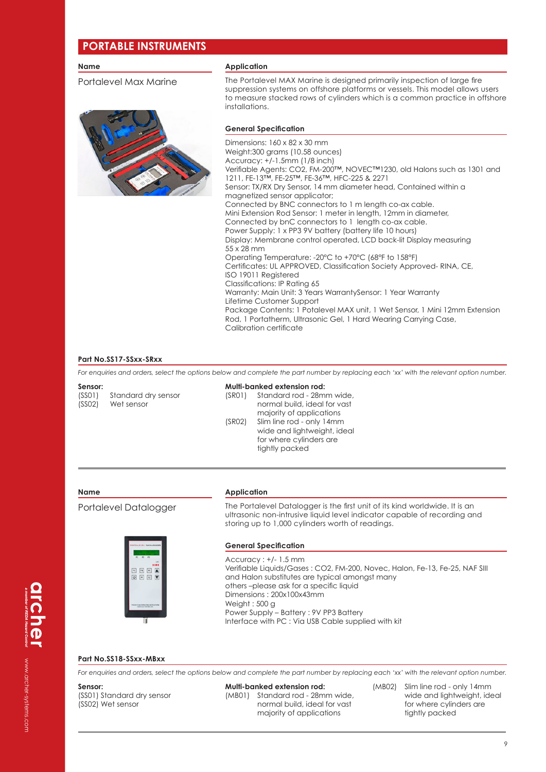#### **Name**

Portalevel Max Marine



#### **Application**

The Portalevel MAX Marine is designed primarily inspection of large fire suppression systems on offshore platforms or vessels. This model allows users to measure stacked rows of cylinders which is a common practice in offshore installations.

#### **General Specification**

Dimensions: 160 x 82 x 30 mm Weight:300 grams (10.58 ounces) Accuracy: +/-1.5mm (1/8 inch) Verifiable Agents: CO2, FM-200™, NOVEC™1230, old Halons such as 1301 and 1211, FE-13™, FE-25™, FE-36™, HFC-225 & 2271 Sensor: TX/RX Dry Sensor, 14 mm diameter head, Contained within a magnetized sensor applicator; Connected by BNC connectors to 1 m length co-ax cable. Mini Extension Rod Sensor: 1 meter in length, 12mm in diameter, Connected by bnC connectors to 1 length co-ax cable. Power Supply: 1 x PP3 9V battery (battery life 10 hours) Display: Membrane control operated, LCD back-lit Display measuring 55 x 28 mm Operating Temperature: -20°C to +70°C (68°F to 158°F) Certificates: UL APPROVED, Classification Society Approved- RINA, CE, ISO 19011 Registered Classifications: IP Rating 65 Warranty: Main Unit: 3 Years WarrantySensor: 1 Year Warranty Lifetime Customer Support Package Contents: 1 Potalevel MAX unit, 1 Wet Sensor, 1 Mini 12mm Extension Rod, 1 Portatherm, Ultrasonic Gel, 1 Hard Wearing Carrying Case, Calibration certificate

#### **Part No.SS17-SSxx-SRxx**

*For enquiries and orders, select the options below and complete the part number by replacing each 'xx' with the relevant option number.*

**Sensor:** 

(SS01) Standard dry sensor (SS02) Wet sensor

#### **Multi-banked extension rod:**

(SR01) Standard rod - 28mm wide, normal build, ideal for vast majority of applications (SR02) Slim line rod - only 14mm wide and lightweight, ideal for where cylinders are tightly packed

#### **Name**

Portalevel Datalogger



# **Application**

The Portalevel Datalogger is the first unit of its kind worldwide. It is an ultrasonic non-intrusive liquid level indicator capable of recording and storing up to 1,000 cylinders worth of readings.

#### **General Specification**

Accuracy : +/- 1.5 mm Verifiable Liquids/Gases : CO2, FM-200, Novec, Halon, Fe-13, Fe-25, NAF SIII and Halon substitutes are typical amongst many others –please ask for a specific liquid Dimensions : 200x100x43mm Weight : 500 g Power Supply – Battery : 9V PP3 Battery Interface with PC : Via USB Cable supplied with kit

#### **Part No.SS18-SSxx-MBxx**

*For enquiries and orders, select the options below and complete the part number by replacing each 'xx' with the relevant option number.*

#### **Sensor:**

(SS01) Standard dry sensor (SS02) Wet sensor

**Multi-banked extension rod:**  (MB01) Standard rod - 28mm wide, normal build, ideal for vast majority of applications

(MB02) Slim line rod - only 14mm wide and lightweight, ideal for where cylinders are tightly packed

www.archer-systems.com www.archer-systems.com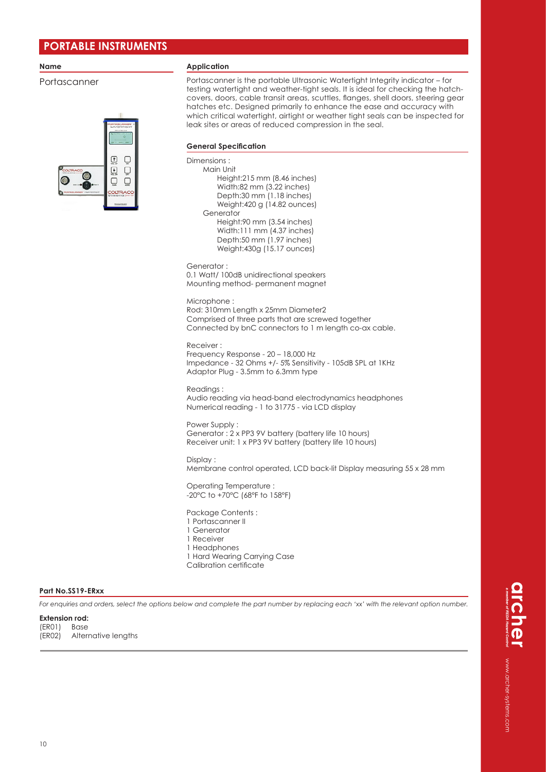#### **Name**

Portascanner



#### **Application**

Portascanner is the portable Ultrasonic Watertight Integrity indicator – for testing watertight and weather-tight seals. It is ideal for checking the hatchcovers, doors, cable transit areas, scuttles, flanges, shell doors, steering gear hatches etc. Designed primarily to enhance the ease and accuracy with which critical watertight, airtight or weather tight seals can be inspected for leak sites or areas of reduced compression in the seal.

#### **General Specification**

Dimensions : Main Unit Height:215 mm (8.46 inches) Width:82 mm (3.22 inches) Depth:30 mm (1.18 inches) Weight:420 g (14.82 ounces) Generator Height:90 mm (3.54 inches) Width:111 mm (4.37 inches) Depth:50 mm (1.97 inches) Weight:430g (15.17 ounces)

Generator : 0.1 Watt/ 100dB unidirectional speakers Mounting method- permanent magnet

Microphone :

Rod: 310mm Length x 25mm Diameter2 Comprised of three parts that are screwed together Connected by bnC connectors to 1 m length co-ax cable.

Receiver : Frequency Response - 20 – 18,000 Hz Impedance - 32 Ohms +/- 5% Sensitivity - 105dB SPL at 1KHz Adaptor Plug - 3.5mm to 6.3mm type

Readings · Audio reading via head-band electrodynamics headphones Numerical reading - 1 to 31775 - via LCD display

Power Supply : Generator : 2 x PP3 9V battery (battery life 10 hours) Receiver unit: 1 x PP3 9V battery (battery life 10 hours)

Display :

Membrane control operated, LCD back-lit Display measuring 55 x 28 mm

Operating Temperature : -20°C to +70°C (68°F to 158°F)

Package Contents :

- 1 Portascanner II
- 1 Generator
- 1 Receiver
- 1 Headphones
- 1 Hard Wearing Carrying Case Calibration certificate
- 

#### **Part No.SS19-ERxx**

*For enquiries and orders, select the options below and complete the part number by replacing each 'xx' with the relevant option number.*

#### **Extension rod:**

(ER01) Base (ER02) Alternative lengths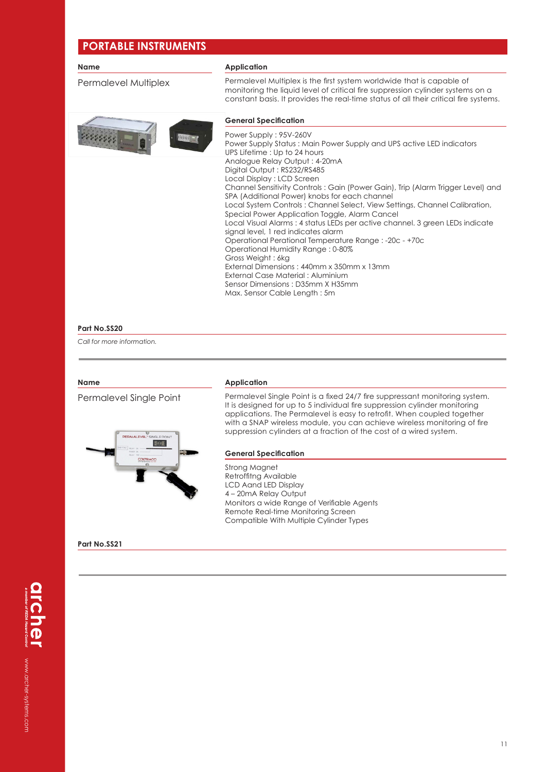| <b>Name</b>          | <b>Application</b>                                                                                                                                                                                                                                                                                                                                                                                                                                                                                                                                                                                                                                                                                                                                                                                                                                               |
|----------------------|------------------------------------------------------------------------------------------------------------------------------------------------------------------------------------------------------------------------------------------------------------------------------------------------------------------------------------------------------------------------------------------------------------------------------------------------------------------------------------------------------------------------------------------------------------------------------------------------------------------------------------------------------------------------------------------------------------------------------------------------------------------------------------------------------------------------------------------------------------------|
| Permalevel Multiplex | Permalevel Multiplex is the first system worldwide that is capable of<br>monitoring the liquid level of critical fire suppression cylinder systems on a<br>constant basis. It provides the real-time status of all their critical fire systems.                                                                                                                                                                                                                                                                                                                                                                                                                                                                                                                                                                                                                  |
|                      | <b>General Specification</b>                                                                                                                                                                                                                                                                                                                                                                                                                                                                                                                                                                                                                                                                                                                                                                                                                                     |
|                      | Power Supply: 95V-260V<br>Power Supply Status: Main Power Supply and UPS active LED indicators<br>UPS Lifetime: Up to 24 hours<br>Analogue Relay Output: 4-20mA<br>Digital Output: RS232/RS485<br>Local Display: LCD Screen<br>Channel Sensitivity Controls: Gain (Power Gain), Trip (Alarm Trigger Level) and<br>SPA (Additional Power) knobs for each channel<br>Local System Controls: Channel Select, View Settings, Channel Calibration,<br>Special Power Application Toggle, Alarm Cancel<br>Local Visual Alarms : 4 status LEDs per active channel. 3 green LEDs indicate<br>signal level, 1 red indicates alarm<br>Operational Perational Temperature Range: -20c - +70c<br>Operational Humidity Range: 0-80%<br>Gross Weight: 6kg<br>External Dimensions: 440mm x 350mm x 13mm<br>External Case Material: Aluminium<br>Sensor Dimensions: D35mm X H35mm |
|                      | Max. Sensor Cable Length: 5m                                                                                                                                                                                                                                                                                                                                                                                                                                                                                                                                                                                                                                                                                                                                                                                                                                     |
| Part No.SS20         |                                                                                                                                                                                                                                                                                                                                                                                                                                                                                                                                                                                                                                                                                                                                                                                                                                                                  |

*Call for more information.*

#### **Name**

Permalevel Single Point



#### **Application**

Permalevel Single Point is a fixed 24/7 fire suppressant monitoring system. It is designed for up to 5 individual fire suppression cylinder monitoring applications. The Permalevel is easy to retrofit. When coupled together with a SNAP wireless module, you can achieve wireless monitoring of fire suppression cylinders at a fraction of the cost of a wired system.

#### **General Specification**

Strong Magnet Retroffitng Available LCD Aand LED Display 4 – 20mA Relay Output Monitors a wide Range of Verifiable Agents Remote Real-time Monitoring Screen Compatible With Multiple Cylinder Types

#### **Part No.SS21**